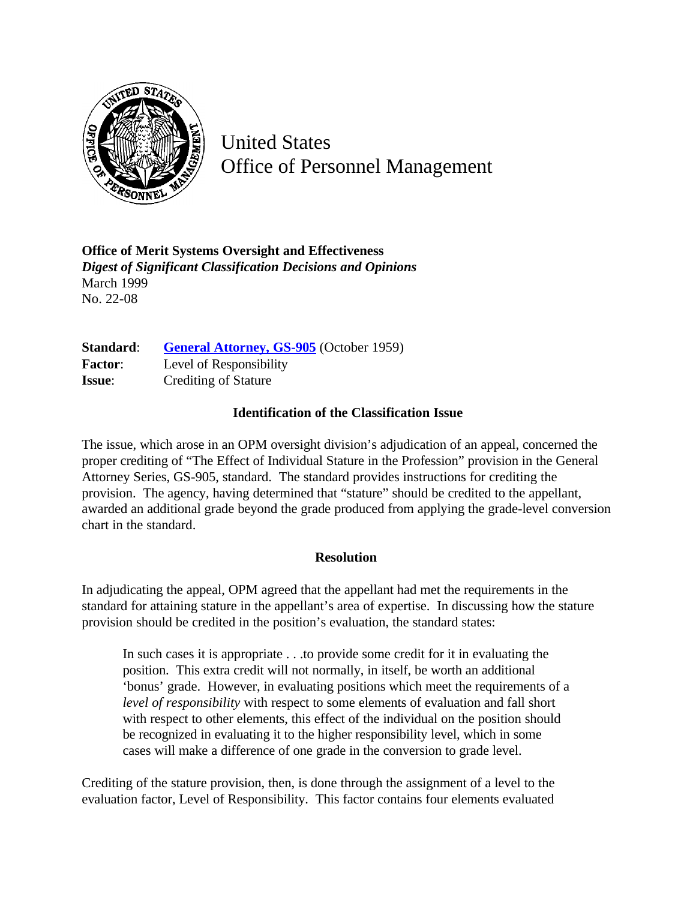

United States Office of Personnel Management

**Office of Merit Systems Oversight and Effectiveness** *Digest of Significant Classification Decisions and Opinions* March 1999 No. 22-08

Standard: **[General Attorney, GS-905](http://www.opm.gov/hr/fedclass/gs0905.pdf)** (October 1959) **Factor**: Level of Responsibility **Issue:** Crediting of Stature

## **Identification of the Classification Issue**

The issue, which arose in an OPM oversight division's adjudication of an appeal, concerned the proper crediting of "The Effect of Individual Stature in the Profession" provision in the General Attorney Series, GS-905, standard. The standard provides instructions for crediting the provision. The agency, having determined that "stature" should be credited to the appellant, awarded an additional grade beyond the grade produced from applying the grade-level conversion chart in the standard.

## **Resolution**

In adjudicating the appeal, OPM agreed that the appellant had met the requirements in the standard for attaining stature in the appellant's area of expertise. In discussing how the stature provision should be credited in the position's evaluation, the standard states:

In such cases it is appropriate . . .to provide some credit for it in evaluating the position. This extra credit will not normally, in itself, be worth an additional 'bonus' grade. However, in evaluating positions which meet the requirements of a *level of responsibility* with respect to some elements of evaluation and fall short with respect to other elements, this effect of the individual on the position should be recognized in evaluating it to the higher responsibility level, which in some cases will make a difference of one grade in the conversion to grade level.

Crediting of the stature provision, then, is done through the assignment of a level to the evaluation factor, Level of Responsibility. This factor contains four elements evaluated